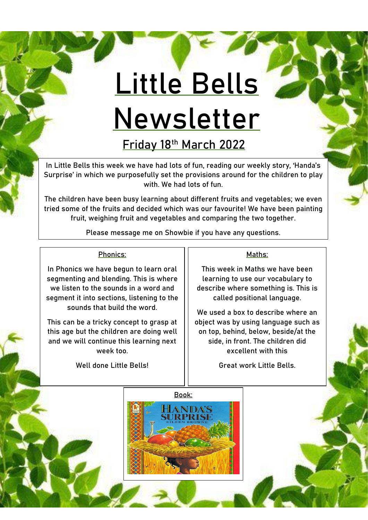# **Little Bells Newsletter**

**Friday 18th March 2022**

In Little Bells this week we have had lots of fun, reading our weekly story, 'Handa's Surprise' in which we purposefully set the provisions around for the children to play with. We had lots of fun.

The children have been busy learning about different fruits and vegetables; we even tried some of the fruits and decided which was our favourite! We have been painting fruit, weighing fruit and vegetables and comparing the two together.

Please message me on Showbie if you have any questions.

### Phonics:

In Phonics we have begun to learn oral segmenting and blending. This is where we listen to the sounds in a word and segment it into sections, listening to the sounds that build the word.

This can be a tricky concept to grasp at this age but the children are doing well and we will continue this learning next week too.

Well done Little Bells!

#### Maths:

This week in Maths we have been learning to use our vocabulary to describe where something is. This is called positional language.

We used a box to describe where an object was by using language such as on top, behind, below, beside/at the side, in front. The children did excellent with this

Great work Little Bells.